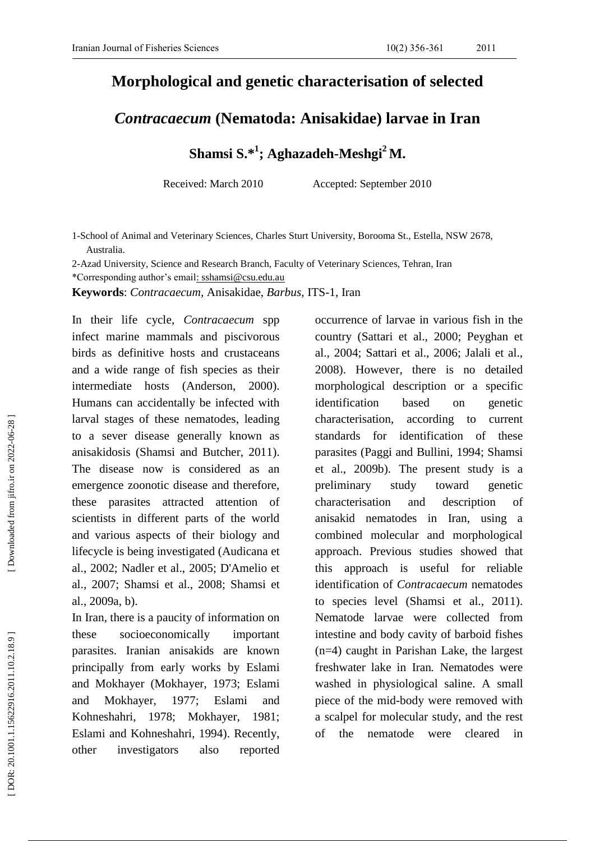## **Morphological and genetic characterisation of selected**

## *Contracaecum* **(Nematoda: Anisakidae) larva e in Iran**

**Shamsi S. \* 1 ; Aghazadeh -Meshgi <sup>2</sup> M.**

Received: March 2010 Accepted: September 2010

1 -School of Animal and Veterinary Sciences, Charles Sturt University, Borooma St., Estella, NSW 2678, Australia .

2 -Azad University, Science and Research Branch, Faculty of Veterinary Sciences, Tehran, Iran

\*Corresponding author's email: [sshamsi@csu.edu.au](mailto:shamsi@csu.edu.au)

**Keywords**: *Contracaecum,* Anisakidae, *Barbus*, ITS -1, Iran

In their life cycle, *Contracaecum* spp infect marine mammals and piscivorous birds as definitive hosts and crustaceans and a wide range of fish species as their intermediate hosts (Anderson, 2000 2000). Human s can accidentally be infected with larval stages of these nematodes, leading to a sever disease generally known as anisakidosis (Shamsi and Butcher, 2011 ). The disease now is considered as an emergence zoonotic disease and therefore, these parasites attracted attention of scientists in different parts of the world and various aspects of their biology and lifecycle is being investigated (Audicana et al., 2002; Nadler et al., 2005; D'Amelio et al., 2007; Shamsi et al., 2008; Shamsi et al., 2009a, b).

In Iran, there is a paucity of information on these socioeconomically important parasites. Iranian anisakids are known principally from early works by Eslami and Mokhayer (Mokhayer, 1973; Eslami and Mokhayer, 1977; Eslami and Kohneshahri, 1978; Mokhayer, 1981; Eslami and Kohneshahri, 1994). Recently, other investigators also reported occurrence of larvae in various fish in the country (Sattari et al., 2000; Peyghan et al., 2004; Sattari et al., 2006; Jalali et al., 2008). However, there is no detailed morphological description or a specific identification based on genetic characterisation , according to current standards for identification of these parasites (Paggi and Bullini, 1994; Shamsi et al., 2009b). The present study is a preliminary study toward genetic characterisation and description of anisakid nematodes in Iran, using a combined molecular and morphological approach. Previous studies showed that this approach is useful for reliable identification of *Contracaecum* nematodes to species level (Shamsi et al., 2011 ) . Nematode larvae were collected from intestine and body cavity of barboid fishes (n=4) caught in Parishan Lake, the largest freshwater lake in Iran *.* Nematodes were washed in physiological saline. A small piece of the mid -body were removed with a scalpel for molecular study, and the rest of the nematode were cleared in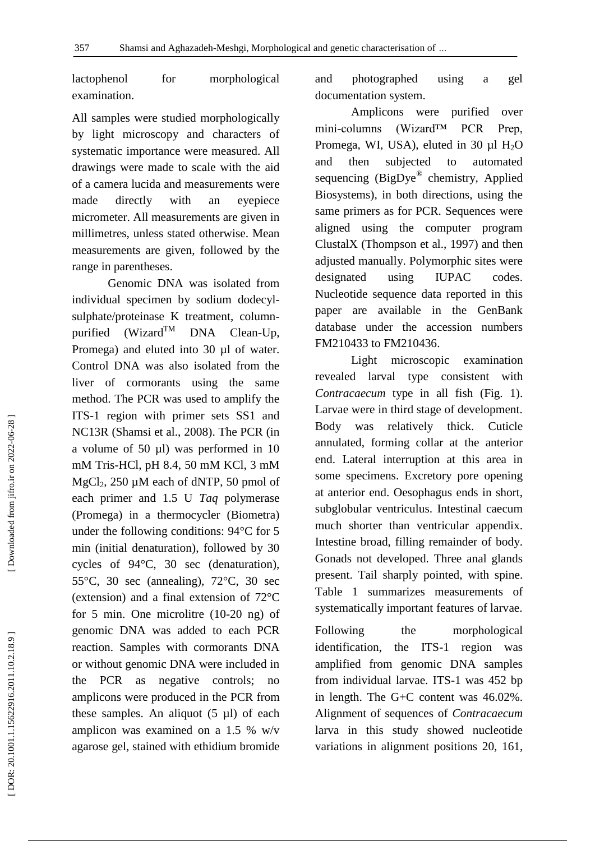lactophenol for morphological examination.

All samples were studied morphologically by light microscopy and characters of systematic importance were measured. All drawings were made to scale with the aid of a camera lucida and measurements were made directly with an eyepiece micrometer. All measurements are given in millimetres, unless stated otherwise. Mean measurements are given, followed by the range in parentheses.

Genomic DNA was isolated from individual specimen by sodium dodecyl sulphate/proteinase K treatment, column purified  $(Wizard^{TM}$  DNA Clean-Up, Promega) and eluted into 30 µl of water. Control DNA was also isolated from the liver of cormorants using the same method. The PCR was used to amplify the ITS -1 region with primer sets SS1 and NC13R (Shamsi et al., 2008 ). The PCR (in a volume of 50 µl) was performed in 10 mM Tris -HCl, pH 8.4, 50 mM KCl, 3 mM MgCl<sub>2</sub>, 250 µM each of dNTP, 50 pmol of each primer and 1.5 U *Taq* polymerase (Promega) in a thermocycler (Biometra) under the following conditions: 94°C for 5 min (initial denaturation), followed by 30 cycles of 94°C, 30 sec (denaturation), 55°C, 30 sec (annealing), 72°C, 30 sec (extension) and a final extension of 72°C for 5 min. One microlitre (10 -20 ng) of genomic DNA was added to each PCR reaction. Samples with cormorants DNA or without genomic DNA were included in the PCR as negative controls; no amplicons were produced in the PCR from these samples. An aliquot (5 µl) of each amplicon was examined on a 1.5 % w/v agarose gel, stained with ethidium bromide

and photographed using a gel documentation system .

Amplicons were purified over mini-columns  $(Wizard<sup>TM</sup> PCR$  Prep, Promega, WI, USA), eluted in 30  $\mu$ l H<sub>2</sub>O and then subjected to automated sequencing (BigDye® chemistry, Applied Biosystems), in both directions, using the same primers as for PCR. Sequences were aligned using the computer program ClustalX (Thompson et al., 1997 ) and then adjusted manually. Polymorphic sites were designated using IUPAC codes. Nucleotide sequence data reported in this paper are available in the GenBank database under the accession numbers FM210433 to FM210436.

Light microscopic examination revealed larval type consistent with *Contracaecum* type in all fish (Fig. 1). Larvae were in third stage of development. Body was relatively thick. Cuticle annulated, forming collar at the anterior end. Lateral interruption at this area in some specimens. Excretory pore opening at anterior end. Oesophagus ends in short, subglobular ventriculus. Intestinal caecum much shorter than ventricular appendix. Intestine broad, filling remainder of body. Gonads not developed. Three anal glands present. Tail sharply pointed, with spine. Table 1 summarizes measurements of systematically important features of larvae.

Following the morphological identification, the ITS-1 region was amplified from genomic DNA samples from individual larvae. ITS -1 was 452 bp in length. The G+C content was 46.02%. Alignment of sequences of *Contracaecum*  larva in this study showed nucleotide variations in alignment positions 20, 161,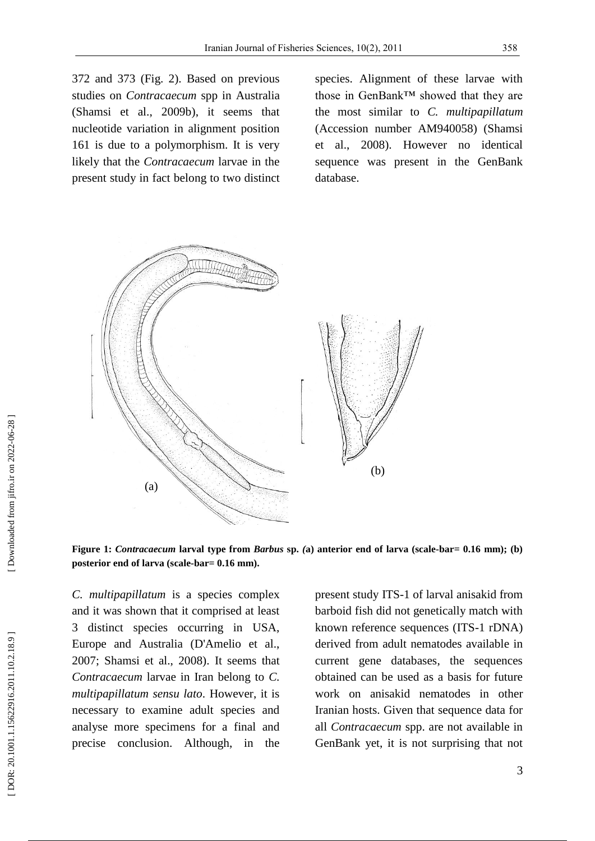372 and 373 (Fig. 2). Based on previous studies on *Contracaecum* spp in Australia (Shamsi et al., 2009b), it seems that nucleotide variation in alignment position 161 is due to a polymorphism. It is very likely that the *Contracaecum* larvae in the present study in fact belong to two distinct

species. Alignment of these larvae with those in GenBank™ showed that they are the most similar to *C. multipapillatum*  (Accession number AM940058) (Shamsi et al., 2008 ). However no identical sequence was present in the GenBank database.



**Figure** 1: *Contracaecum* larval type from *Barbus* sp. (a) anterior end of larva (scale-bar= 0.16 mm); (b) posterior end of larva (scale-bar=  $0.16$  mm).

*C. multipapillatum* is a species complex and it was shown that it comprised at least 3 distinct species occurring in USA, Europe and Australia (D'Amelio et al., 2007; Shamsi et al., 2008). It seems that *Contracaecum* larvae in Iran belong to *C. multipapillatum sensu lato*. However, it is necessary to examine adult species and analyse more specimens for a final and precise conclusion. Although, in the present study ITS -1 of larval anisakid from barboid fish did not genetically match with known reference sequences (ITS -1 rDNA) derived from adult nematodes available in current gene databases, the sequences obtained can be used as a basis for future work on anisakid nematodes in other Iranian hosts. Given that sequence data for all *Contracaecum* spp. are not available in GenBank yet, it is not surprising that not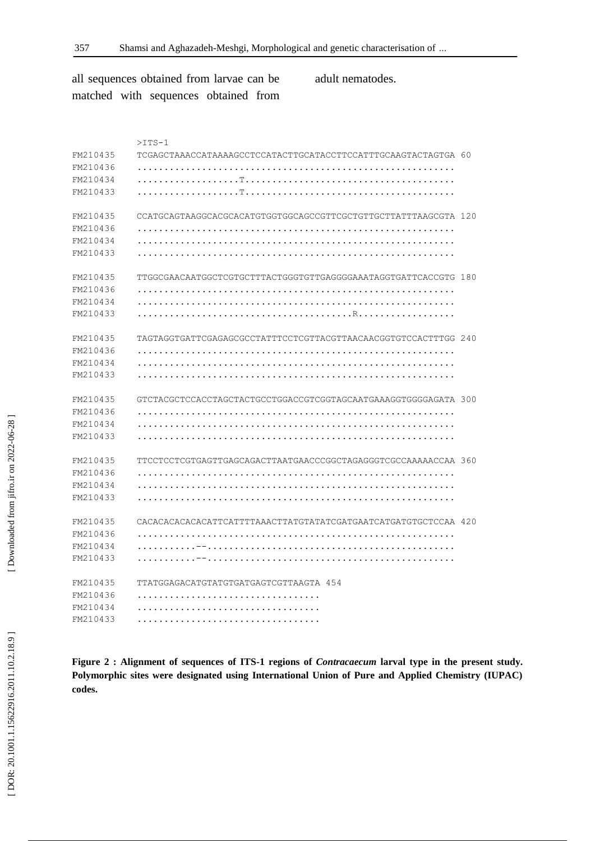[DOR: 20.1001.1.15622916.2011.10.2.18.9]

[Downloaded from jifro.ir on 2022-06-28]

all sequences obtained from larvae can be matched with sequences obtained from adult nematodes.

|          | $>$ ITS-1                                                       |  |
|----------|-----------------------------------------------------------------|--|
| FM210435 | TCGAGCTAAACCATAAAAGCCTCCATACTTGCATACCTTCCATTTGCAAGTACTAGTGA 60  |  |
| FM210436 |                                                                 |  |
| FM210434 |                                                                 |  |
| FM210433 |                                                                 |  |
| FM210435 | CCATGCAGTAAGGCACGCACATGTGGTGGCAGCCGTTCGCTGTTGCTTATTTAAGCGTA 120 |  |
| FM210436 |                                                                 |  |
| FM210434 |                                                                 |  |
| FM210433 |                                                                 |  |
| FM210435 | TTGGCGAACAATGGCTCGTGCTTTACTGGGTGTTGAGGGGAAATAGGTGATTCACCGTG 180 |  |
| FM210436 |                                                                 |  |
| FM210434 |                                                                 |  |
| FM210433 |                                                                 |  |
| FM210435 | TAGTAGGTGATTCGAGAGCGCCTATTTCCTCGTTACGTTAACAACGGTGTCCACTTTGG 240 |  |
| FM210436 |                                                                 |  |
| FM210434 |                                                                 |  |
| FM210433 |                                                                 |  |
| FM210435 | GTCTACGCTCCACCTAGCTACTGCCTGGACCGTCGGTAGCAATGAAAGGTGGGGAGATA 300 |  |
| FM210436 |                                                                 |  |
| FM210434 |                                                                 |  |
| FM210433 |                                                                 |  |
| FM210435 | TTCCTCCTCGTGAGTTGAGCAGACTTAATGAACCCGGCTAGAGGGTCGCCAAAAACCAA 360 |  |
| FM210436 |                                                                 |  |
| FM210434 |                                                                 |  |
| FM210433 |                                                                 |  |
| FM210435 | CACACACACACACATTCATTTTAAACTTATGTATATCGATGAATCATGATGTGCTCCAA 420 |  |
| FM210436 |                                                                 |  |
| FM210434 |                                                                 |  |
| FM210433 |                                                                 |  |
| FM210435 | TTATGGAGACATGTATGTGATGAGTCGTTAAGTA 454                          |  |
| FM210436 |                                                                 |  |
| FM210434 |                                                                 |  |
| FM210433 |                                                                 |  |

**Figure 2 : Alignment of sequences of ITS -1 regions of** *Contracaecum* **larval type in the present study. Polymorphic sites were designated using International Union of Pure and Applied Chemistry (IUPAC) codes.**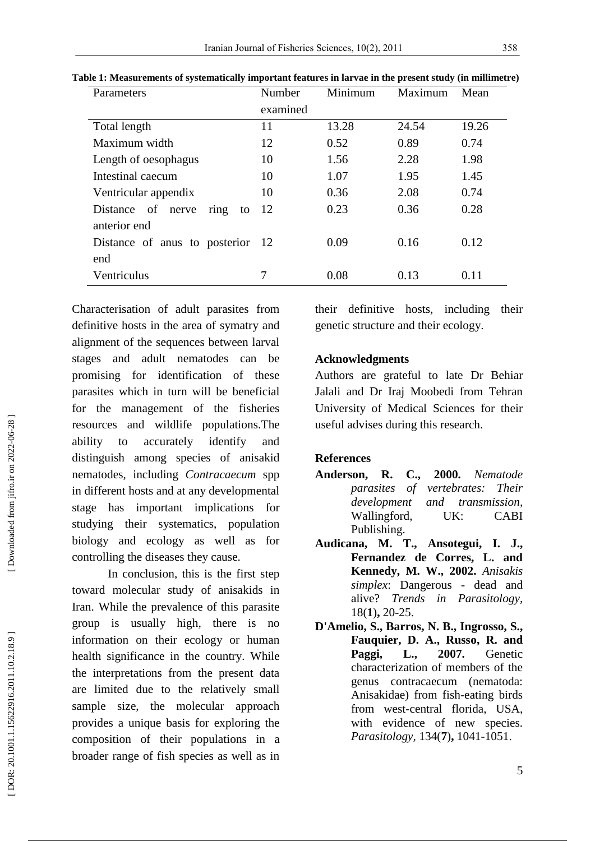| Parameters                       | Number   | Minimum | Maximum | Mean  |
|----------------------------------|----------|---------|---------|-------|
|                                  | examined |         |         |       |
| Total length                     | 11       | 13.28   | 24.54   | 19.26 |
| Maximum width                    | 12       | 0.52    | 0.89    | 0.74  |
| Length of oesophagus             | 10       | 1.56    | 2.28    | 1.98  |
| Intestinal caecum                | 10       | 1.07    | 1.95    | 1.45  |
| Ventricular appendix             | 10       | 0.36    | 2.08    | 0.74  |
| Distance of nerve<br>ring<br>to  | 12       | 0.23    | 0.36    | 0.28  |
| anterior end                     |          |         |         |       |
| Distance of anys to posterior 12 |          | 0.09    | 0.16    | 0.12  |
| end                              |          |         |         |       |
| Ventriculus                      | 7        | 0.08    | 0.13    | 0.11  |

**Table 1: Measurements of systematically important feature s in larvae in the present study (in millimetre)**

Characterisation of adult parasites from definitive hosts in the area of symatry and alignment of the sequences between larval stages and adult nematodes can be promising for identification of these parasites which in turn will be beneficial for the management of the fisheries resources and wildlife populations.The ability to accurately identify and distinguish among species of anisakid nematodes, including *Contracaecum* spp in different hosts and at any developmental stage has important implications for studying their systematics, population biology and ecology as well as for controlling the diseases they cause.

In conclusion, this is the first step toward molecular study of anisakids in Iran . While the prevalence of this parasite group is usually high, there is no information on their ecology or human health significance in the country. While the interpretations from the present data are limited due to the relatively small sample size, the molecular approach provides a unique basis for exploring the composition of their populations in a broader range of fish species as well as in

their definitive hosts, including their genetic structure and their ecology.

## **Acknowledgment s**

Authors are grateful to late Dr Behiar Jalali and Dr Iraj Moobedi from Tehran University of Medical Sciences for their useful advises during this research .

## **References**

- **Anderson, R. C., 2000.** *Nematode parasites of vertebrates: Their development and transmission,*  Wallingford, UK: CABI Publishing.
- **Audicana, M. T., Ansotegui, I. J., Fernandez de Corres, L. and Kennedy, M. W., 2002.** *Anisakis simplex*: Dangerous - dead and alive? *Trends in Parasitology,* 18( **1** ) **,** 20 -25.
- **D'Amelio, S., Barros, N. B., Ingrosso, S., Fauquier, D. A., Russo, R. and Paggi, L., 2007.** Genetic characterization of members of the genus contracaecum (nematoda: Anisakidae) from fish -eating birds from west -central florida, USA, with evidence of new species. *Parasitology,* 134( **7** ) **,** 1041 -1051.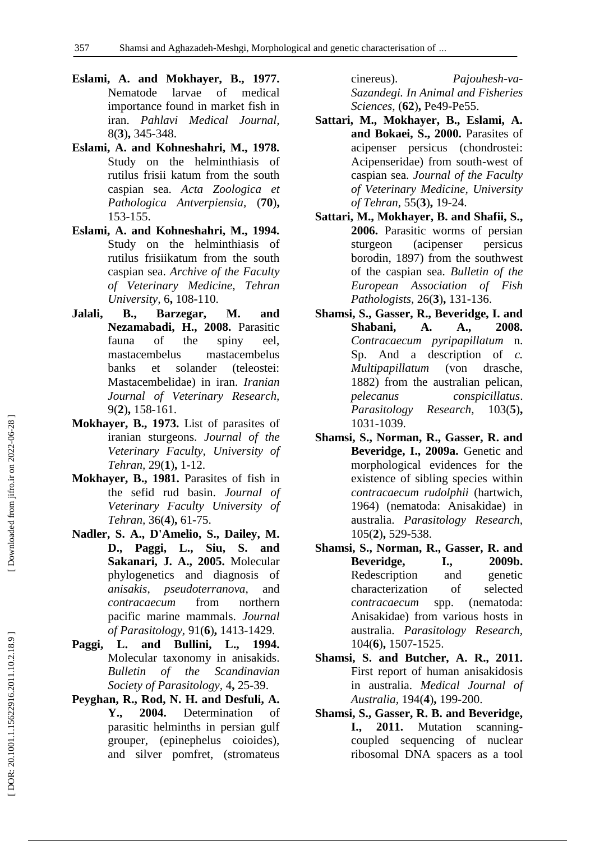- **Eslami, A. and Mokhayer, B., 1977.** Nematode larvae of medical importance found in market fish in iran. *Pahlavi Medical Journal,* 8( **3** ) **,** 345 -348.
- **Eslami, A. and Kohneshahri, M., 1978.** Study on the helminthiasis of rutilus frisii katum from the south caspian sea. *Acta Zoologica et Pathologica Antverpiensia,* (**70** ) **,** 153 -155.
- **Eslami, A. and Kohneshahri, M., 1994.** Study on the helminthiasis of rutilus frisiikatum from the south caspian sea. *Archive of the Faculty of Veterinary Medicine, Tehran University,* 6 **,** 108 -110.
- **Jalali, B., Barzegar, M. and Nezamabadi, H., 2008.** Parasitic fauna of the spiny eel, mastacembelus mastacembelus banks et solander (teleostei: Mastacembelidae) in iran. *Iranian Journal of Veterinary Research,* 9( **2** ) **,** 158 -161.
- **Mokhayer, B., 1973.** List of parasites of iranian sturgeons. *Journal of the Veterinary Faculty, University of Tehran,* 29( **1** ) **,** 1 -12.
- **Mokhayer, B., 1981.** Parasites of fish in the sefid rud basin. *Journal of Veterinary Faculty University of Tehran,* 36( **4** ) **,** 61 -75.
- **Nadler, S. A., D'Amelio, S., Dailey, M. D., Paggi, L., Siu, S. and Sakanari, J. A., 2005.** Molecular phylogenetics and diagnosis of *anisakis*, *pseudoterranova*, and *contracaecum* from northern pacific marine mammals. *Journal of Parasitology,* 91( **6** ) **,** 1413 -1429.
- **Paggi, L. and Bullini, L., 1994.** Molecular taxonomy in anisakids. *Bulletin of the Scandinavian*  Society of Parasitology, 4, 25-39.
- **Peyghan, R., Rod, N. H. and Desfuli, A. Y., 2004.** Determination of parasitic helminths in persian gulf grouper, (epinephelus coioides), and silver pomfret, (stromateus

cinereus). *Pajouhesh -va - Sazandegi. In Animal and Fisheries*  Sciences, (62), Pe49-Pe55.

- **Sattari, M., Mokhayer, B., Eslami, A. and Bokaei, S., 2000.** Parasites of acipenser persicus (chondrostei: Acipenseridae) from south -west of caspian sea. *Journal of the Faculty of Veterinary Medicine, University of Tehran,* 55( **3** ) **,** 19 -24.
- **Sattari, M., Mokhayer, B. and Shafii, S., 2006.** Parasitic worms of persian sturgeon (acipenser persicus borodin, 1897) from the southwest of the caspian sea. *Bulletin of the European Association of Fish Pathologists,* 26( **3** ) **,** 131 -136.
- **Shamsi, S., Gasser, R., Beveridge, I. and Shabani, A. A., 2008.** *Contracaecum pyripapillatum* n. Sp. And a description of *c. Multipapillatum* (von drasche, 1882) from the australian pelican, *pelecanus conspicillatus*. *Parasitology Research,* **5** ) **,** 103 1 -1039.
- **Shamsi, S., Norman, R., Gasser, R. and Beveridge, I., 2009a.** Genetic and morphological evidences for the existence of sibling species within *contracaecum rudolphii* (hartwich, 1964) (nematoda: Anisakidae) in australia. *Parasitology Research,* 105( **2** ) **,** 529 -538.
- **Shamsi, S., Norman, R., Gasser, R. and Beveridge, I., 2009b.** Redescription and genetic characterization of selected *contracaecum* spp. (nematoda: Anisakidae) from various hosts in australia. *Parasitology Research,* 104( **6** ) **,** 1507 -1525.
- **Shamsi, S. and Butcher, A. R., 2011.** First report of human anisakidosis in australia. *Medical Journal of Australia,* 194( **4** ) **,** 199 -200.
- **Shamsi, S., Gasser, R. B. and Beveridge, I., 2011.** Mutation scanning coupled sequencing of nuclear ribosomal DNA spacers as a tool